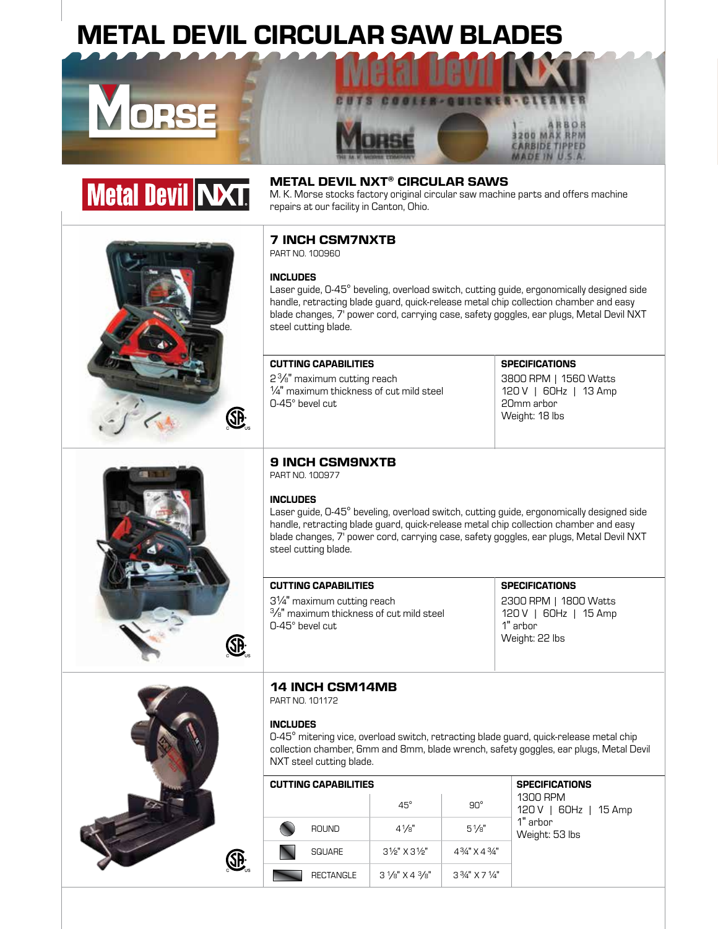# METAL DEVIL CIRCULAR SAW BLADES





# ®

# METAL DEVIL NXT® CIRCULAR SAWS

M. K. Morse stocks factory original circular saw machine parts and offers machine repairs at our facility in Canton, Ohio.

# 7 INCH CSM7NXTB

PART NO. 100960

# INCLUDES

Laser guide, 0-45° beveling, overload switch, cutting guide, ergonomically designed side handle, retracting blade guard, quick-release metal chip collection chamber and easy blade changes, 7' power cord, carrying case, safety goggles, ear plugs, Metal Devil NXT steel cutting blade.

# CUTTING CAPABILITIES SPECIFICATIONS

2 <sup>3</sup> /8" maximum cutting reach ¼" maximum thickness of cut mild steel 0-45° bevel cut

**CARBIDE TIPPED** MADE IN U.S.A

3800 RPM | 1560 Watts 120 V | 60Hz | 13 Amp 20mm arbor Weight: 18 lbs



# 9 INCH CSM9NXTB

PART NO. 100977

# INCLUDES

Laser guide, 0-45° beveling, overload switch, cutting guide, ergonomically designed side handle, retracting blade guard, quick-release metal chip collection chamber and easy blade changes, 7' power cord, carrying case, safety goggles, ear plugs, Metal Devil NXT steel cutting blade.

# CUTTING CAPABILITIES SPECIFICATIONS

3¼" maximum cutting reach 3/8" maximum thickness of cut mild steel 0-45° bevel cut

2300 RPM | 1800 Watts 120 V | 60Hz | 15 Amp 1" arbor Weight: 22 lbs



# 14 INCH CSM14MB

PART NO. 101172

## INCLUDES

0-45° mitering vice, overload switch, retracting blade guard, quick-release metal chip collection chamber, 6mm and 8mm, blade wrench, safety goggles, ear plugs, Metal Devil NXT steel cutting blade.

| <b>CUTTING CAPABILITIES</b> | <b>SPECIFICATIONS</b>              |                                         |                                      |  |  |
|-----------------------------|------------------------------------|-----------------------------------------|--------------------------------------|--|--|
|                             | $45^\circ$                         | $90^\circ$                              | 1300 RPM<br>  60Hz   15 Amp<br>120 V |  |  |
| <b>ROUND</b>                | $4\frac{1}{8}$                     | $5\frac{1}{8}$                          | 1" arbor<br>Weight: 53 lbs           |  |  |
| <b>SQUARE</b>               | $3\frac{1}{2}$ X $3\frac{1}{2}$    | 4 <sup>3</sup> /4" X 4 <sup>3</sup> /4" |                                      |  |  |
| <b>RECTANGLE</b>            | $3\frac{1}{8}$ X 4 $\frac{3}{8}$ " | $3\frac{3}{4}$ " X 7 $\frac{1}{4}$ "    |                                      |  |  |